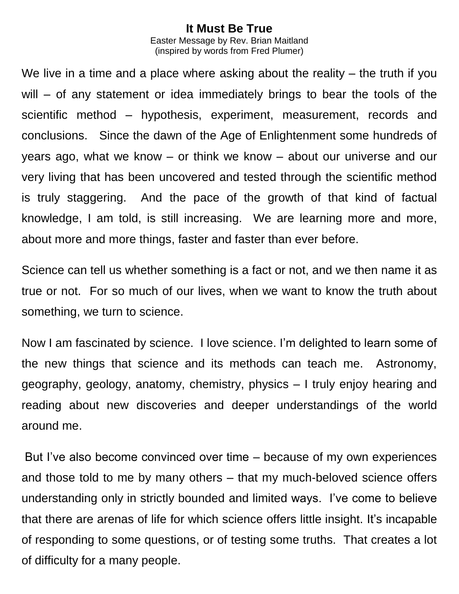## **It Must Be True**

Easter Message by Rev. Brian Maitland (inspired by words from [Fred Plumer\)](http://www.tcpc.org/about/bio.cfm?person_id=66)

We live in a time and a place where asking about the reality – the truth if you will – of any statement or idea immediately brings to bear the tools of the scientific method – hypothesis, experiment, measurement, records and conclusions. Since the dawn of the Age of Enlightenment some hundreds of years ago, what we know – or think we know – about our universe and our very living that has been uncovered and tested through the scientific method is truly staggering. And the pace of the growth of that kind of factual knowledge, I am told, is still increasing. We are learning more and more, about more and more things, faster and faster than ever before.

Science can tell us whether something is a fact or not, and we then name it as true or not. For so much of our lives, when we want to know the truth about something, we turn to science.

Now I am fascinated by science. I love science. I'm delighted to learn some of the new things that science and its methods can teach me. Astronomy, geography, geology, anatomy, chemistry, physics – I truly enjoy hearing and reading about new discoveries and deeper understandings of the world around me.

But I've also become convinced over time – because of my own experiences and those told to me by many others – that my much-beloved science offers understanding only in strictly bounded and limited ways. I've come to believe that there are arenas of life for which science offers little insight. It's incapable of responding to some questions, or of testing some truths. That creates a lot of difficulty for a many people.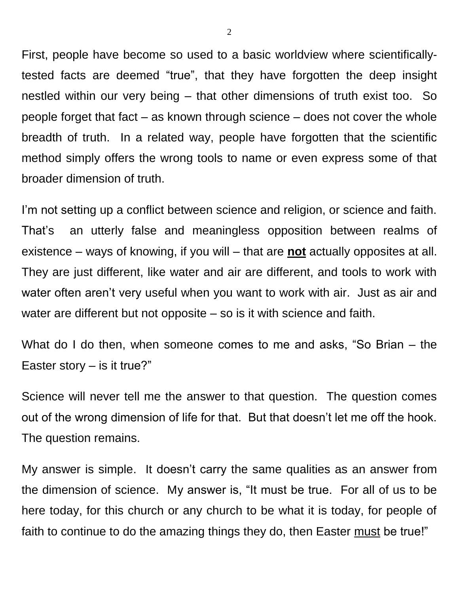First, people have become so used to a basic worldview where scientificallytested facts are deemed "true", that they have forgotten the deep insight nestled within our very being – that other dimensions of truth exist too. So people forget that fact – as known through science – does not cover the whole breadth of truth. In a related way, people have forgotten that the scientific method simply offers the wrong tools to name or even express some of that broader dimension of truth.

I'm not setting up a conflict between science and religion, or science and faith. That's an utterly false and meaningless opposition between realms of existence – ways of knowing, if you will – that are **not** actually opposites at all. They are just different, like water and air are different, and tools to work with water often aren't very useful when you want to work with air. Just as air and water are different but not opposite – so is it with science and faith.

What do I do then, when someone comes to me and asks, "So Brian – the Easter story  $-$  is it true?"

Science will never tell me the answer to that question. The question comes out of the wrong dimension of life for that. But that doesn't let me off the hook. The question remains.

My answer is simple. It doesn't carry the same qualities as an answer from the dimension of science. My answer is, "It must be true. For all of us to be here today, for this church or any church to be what it is today, for people of faith to continue to do the amazing things they do, then Easter must be true!"

2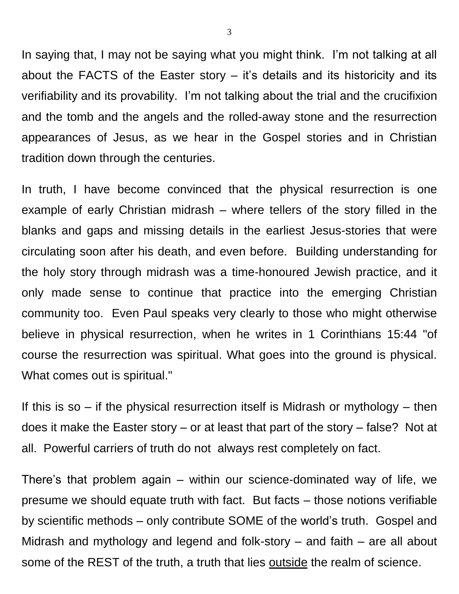In saying that, I may not be saying what you might think. I'm not talking at all about the FACTS of the Easter story – it's details and its historicity and its verifiability and its provability. I'm not talking about the trial and the crucifixion and the tomb and the angels and the rolled-away stone and the resurrection appearances of Jesus, as we hear in the Gospel stories and in Christian tradition down through the centuries.

In truth, I have become convinced that the physical resurrection is one example of early Christian midrash – where tellers of the story filled in the blanks and gaps and missing details in the earliest Jesus-stories that were circulating soon after his death, and even before. Building understanding for the holy story through midrash was a time-honoured Jewish practice, and it only made sense to continue that practice into the emerging Christian community too. Even Paul speaks very clearly to those who might otherwise believe in physical resurrection, when he writes in 1 Corinthians 15:44 "of course the resurrection was spiritual. What goes into the ground is physical. What comes out is spiritual."

If this is so  $-$  if the physical resurrection itself is Midrash or mythology  $-$  then does it make the Easter story – or at least that part of the story – false? Not at all. Powerful carriers of truth do not always rest completely on fact.

There's that problem again – within our science-dominated way of life, we presume we should equate truth with fact. But facts – those notions verifiable by scientific methods – only contribute SOME of the world's truth. Gospel and Midrash and mythology and legend and folk-story – and faith – are all about some of the REST of the truth, a truth that lies outside the realm of science.

3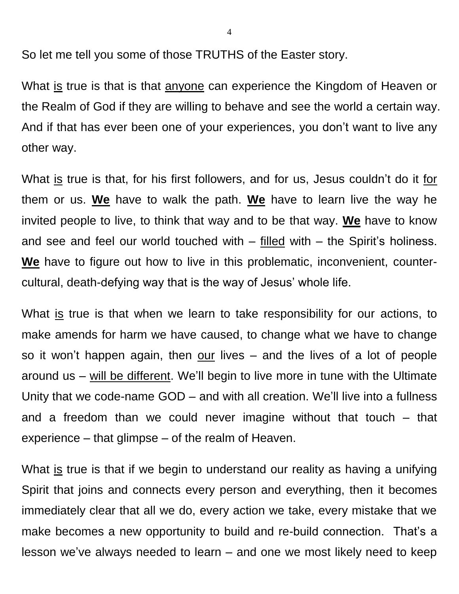So let me tell you some of those TRUTHS of the Easter story.

What is true is that is that anyone can experience the Kingdom of Heaven or the Realm of God if they are willing to behave and see the world a certain way. And if that has ever been one of your experiences, you don't want to live any other way.

What is true is that, for his first followers, and for us, Jesus couldn't do it for them or us. **We** have to walk the path. **We** have to learn live the way he invited people to live, to think that way and to be that way. **We** have to know and see and feel our world touched with  $-$  filled with  $-$  the Spirit's holiness. **We** have to figure out how to live in this problematic, inconvenient, countercultural, death-defying way that is the way of Jesus' whole life.

What is true is that when we learn to take responsibility for our actions, to make amends for harm we have caused, to change what we have to change so it won't happen again, then our lives – and the lives of a lot of people around us – will be different. We'll begin to live more in tune with the Ultimate Unity that we code-name GOD – and with all creation. We'll live into a fullness and a freedom than we could never imagine without that touch – that experience – that glimpse – of the realm of Heaven.

What is true is that if we begin to understand our reality as having a unifying Spirit that joins and connects every person and everything, then it becomes immediately clear that all we do, every action we take, every mistake that we make becomes a new opportunity to build and re-build connection. That's a lesson we've always needed to learn – and one we most likely need to keep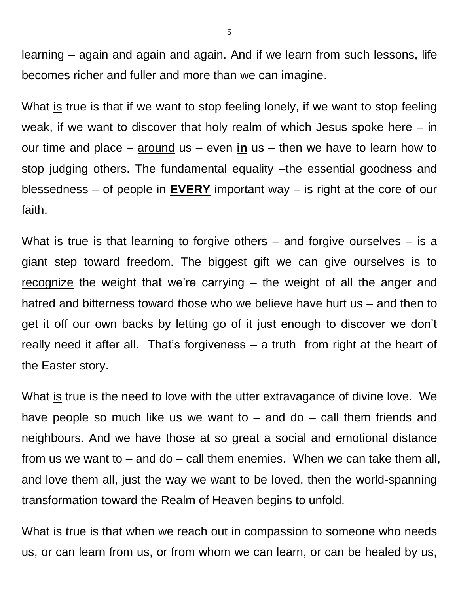learning – again and again and again. And if we learn from such lessons, life becomes richer and fuller and more than we can imagine.

What is true is that if we want to stop feeling lonely, if we want to stop feeling weak, if we want to discover that holy realm of which Jesus spoke here  $-$  in our time and place – around us – even **in** us – then we have to learn how to stop judging others. The fundamental equality –the essential goodness and blessedness – of people in **EVERY** important way – is right at the core of our faith.

What is true is that learning to forgive others – and forgive ourselves – is a giant step toward freedom. The biggest gift we can give ourselves is to recognize the weight that we're carrying – the weight of all the anger and hatred and bitterness toward those who we believe have hurt us – and then to get it off our own backs by letting go of it just enough to discover we don't really need it after all. That's forgiveness – a truth from right at the heart of the Easter story.

What is true is the need to love with the utter extravagance of divine love. We have people so much like us we want to  $-$  and do  $-$  call them friends and neighbours. And we have those at so great a social and emotional distance from us we want to – and do – call them enemies. When we can take them all, and love them all, just the way we want to be loved, then the world-spanning transformation toward the Realm of Heaven begins to unfold.

What is true is that when we reach out in compassion to someone who needs us, or can learn from us, or from whom we can learn, or can be healed by us,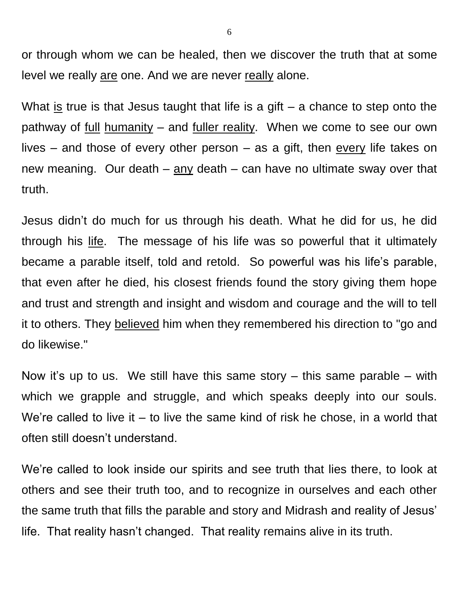or through whom we can be healed, then we discover the truth that at some level we really are one. And we are never really alone.

What is true is that Jesus taught that life is a gift  $-$  a chance to step onto the pathway of full humanity – and fuller reality. When we come to see our own lives – and those of every other person – as a gift, then every life takes on new meaning. Our death – any death – can have no ultimate sway over that truth.

Jesus didn't do much for us through his death. What he did for us, he did through his life. The message of his life was so powerful that it ultimately became a parable itself, told and retold. So powerful was his life's parable, that even after he died, his closest friends found the story giving them hope and trust and strength and insight and wisdom and courage and the will to tell it to others. They believed him when they remembered his direction to "go and do likewise."

Now it's up to us. We still have this same story  $-$  this same parable  $-$  with which we grapple and struggle, and which speaks deeply into our souls. We're called to live it – to live the same kind of risk he chose, in a world that often still doesn't understand.

We're called to look inside our spirits and see truth that lies there, to look at others and see their truth too, and to recognize in ourselves and each other the same truth that fills the parable and story and Midrash and reality of Jesus' life. That reality hasn't changed. That reality remains alive in its truth.